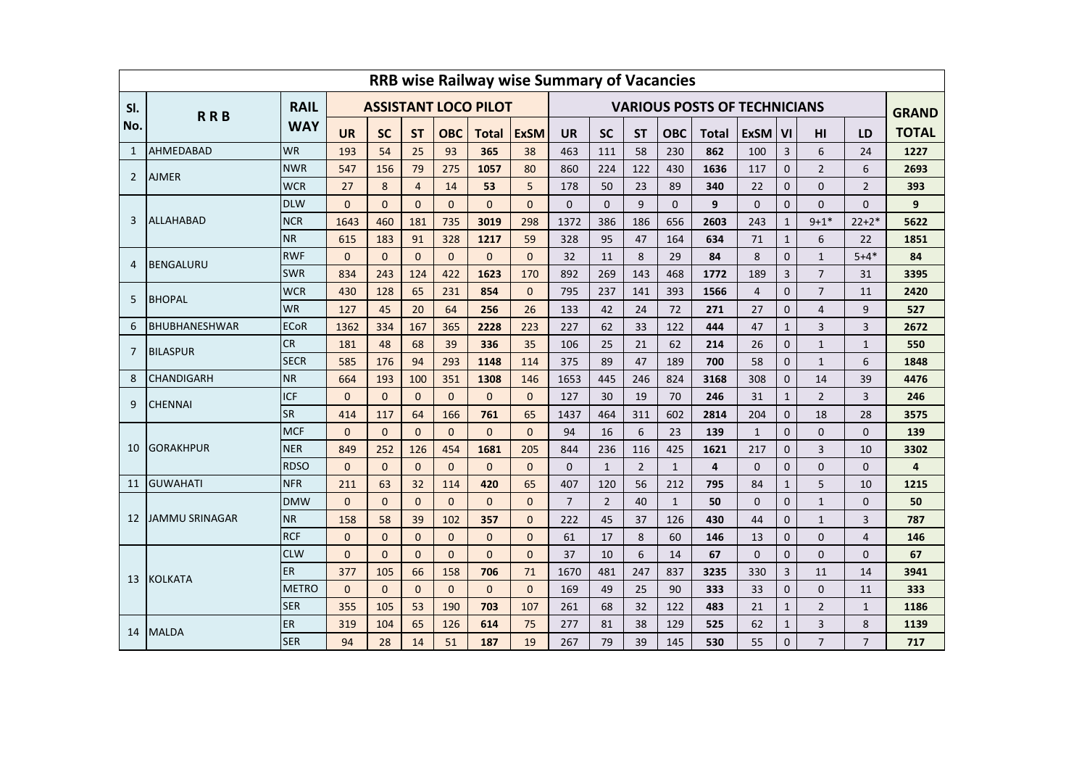|     | <b>RRB wise Railway wise Summary of Vacancies</b> |              |                             |              |                |              |                |             |                |                                     |                |              |       |                |                |                 |                |                              |  |
|-----|---------------------------------------------------|--------------|-----------------------------|--------------|----------------|--------------|----------------|-------------|----------------|-------------------------------------|----------------|--------------|-------|----------------|----------------|-----------------|----------------|------------------------------|--|
| SI. | <b>RAIL</b>                                       |              | <b>ASSISTANT LOCO PILOT</b> |              |                |              |                |             |                | <b>VARIOUS POSTS OF TECHNICIANS</b> |                |              |       |                |                |                 |                |                              |  |
| No. | <b>RRB</b>                                        | <b>WAY</b>   | <b>UR</b>                   | <b>SC</b>    | <b>ST</b>      | <b>OBC</b>   | Total          | <b>ExSM</b> | <b>UR</b>      | <b>SC</b>                           | <b>ST</b>      | <b>OBC</b>   | Total | <b>ExSM</b>    | V <sub>l</sub> | H <sub>II</sub> | LD             | <b>GRAND</b><br><b>TOTAL</b> |  |
| 1   | <b>AHMEDABAD</b>                                  | <b>WR</b>    | 193                         | 54           | 25             | 93           | 365            | 38          | 463            | 111                                 | 58             | 230          | 862   | 100            | 3              | 6               | 24             | 1227                         |  |
| 2   | <b>AJMER</b>                                      | <b>NWR</b>   | 547                         | 156          | 79             | 275          | 1057           | 80          | 860            | 224                                 | 122            | 430          | 1636  | 117            | $\mathbf 0$    | $\overline{2}$  | 6              | 2693                         |  |
|     |                                                   | <b>WCR</b>   | 27                          | 8            | $\overline{4}$ | 14           | 53             | 5           | 178            | 50                                  | 23             | 89           | 340   | 22             | $\mathbf{0}$   | $\overline{0}$  | $\overline{2}$ | 393                          |  |
| 3   | ALLAHABAD                                         | <b>DLW</b>   | $\Omega$                    | $\Omega$     | $\Omega$       | $\Omega$     | $\Omega$       | $\Omega$    | $\Omega$       | $\Omega$                            | 9              | $\Omega$     | 9     | $\mathbf{0}$   | $\Omega$       | $\overline{0}$  | $\Omega$       | 9                            |  |
|     |                                                   | <b>NCR</b>   | 1643                        | 460          | 181            | 735          | 3019           | 298         | 1372           | 386                                 | 186            | 656          | 2603  | 243            | $\mathbf{1}$   | $9 + 1*$        | $22+2*$        | 5622                         |  |
|     |                                                   | <b>NR</b>    | 615                         | 183          | 91             | 328          | 1217           | 59          | 328            | 95                                  | 47             | 164          | 634   | 71             | $\mathbf{1}$   | 6               | 22             | 1851                         |  |
| 4   | <b>BENGALURU</b>                                  | <b>RWF</b>   | $\Omega$                    | $\Omega$     | $\Omega$       | $\Omega$     | $\Omega$       | $\Omega$    | 32             | 11                                  | 8              | 29           | 84    | 8              | $\Omega$       | $1\,$           | $5 + 4*$       | 84                           |  |
|     |                                                   | <b>SWR</b>   | 834                         | 243          | 124            | 422          | 1623           | 170         | 892            | 269                                 | 143            | 468          | 1772  | 189            | 3              | $\overline{7}$  | 31             | 3395                         |  |
| 5   | <b>BHOPAL</b>                                     | <b>WCR</b>   | 430                         | 128          | 65             | 231          | 854            | $\Omega$    | 795            | 237                                 | 141            | 393          | 1566  | $\overline{4}$ | $\mathbf 0$    | $\overline{7}$  | 11             | 2420                         |  |
|     |                                                   | <b>WR</b>    | 127                         | 45           | 20             | 64           | 256            | 26          | 133            | 42                                  | 24             | 72           | 271   | 27             | $\mathbf 0$    | 4               | 9              | 527                          |  |
| 6   | <b>BHUBHANESHWAR</b>                              | <b>ECoR</b>  | 1362                        | 334          | 167            | 365          | 2228           | 223         | 227            | 62                                  | 33             | 122          | 444   | 47             | $\mathbf{1}$   | 3               | 3              | 2672                         |  |
| 7   | <b>BILASPUR</b>                                   | <b>CR</b>    | 181                         | 48           | 68             | 39           | 336            | 35          | 106            | 25                                  | 21             | 62           | 214   | 26             | $\mathbf{0}$   | $\mathbf{1}$    | $\mathbf{1}$   | 550                          |  |
|     |                                                   | <b>SECR</b>  | 585                         | 176          | 94             | 293          | 1148           | 114         | 375            | 89                                  | 47             | 189          | 700   | 58             | $\mathbf 0$    | $\mathbf{1}$    | 6              | 1848                         |  |
| 8   | <b>CHANDIGARH</b>                                 | <b>NR</b>    | 664                         | 193          | 100            | 351          | 1308           | 146         | 1653           | 445                                 | 246            | 824          | 3168  | 308            | $\mathbf{0}$   | 14              | 39             | 4476                         |  |
| 9   | <b>CHENNAI</b>                                    | <b>ICF</b>   | $\Omega$                    | $\Omega$     | $\Omega$       | $\mathbf{0}$ | $\Omega$       | $\Omega$    | 127            | 30                                  | 19             | 70           | 246   | 31             | $\mathbf{1}$   | $\overline{2}$  | 3              | 246                          |  |
|     |                                                   | <b>SR</b>    | 414                         | 117          | 64             | 166          | 761            | 65          | 1437           | 464                                 | 311            | 602          | 2814  | 204            | $\mathbf{0}$   | 18              | 28             | 3575                         |  |
| 10  | <b>GORAKHPUR</b>                                  | <b>MCF</b>   | $\Omega$                    | $\Omega$     | $\Omega$       | $\Omega$     | $\Omega$       | $\Omega$    | 94             | 16                                  | 6              | 23           | 139   | $\mathbf{1}$   | $\mathbf{0}$   | $\Omega$        | $\Omega$       | 139                          |  |
|     |                                                   | <b>NER</b>   | 849                         | 252          | 126            | 454          | 1681           | 205         | 844            | 236                                 | 116            | 425          | 1621  | 217            | $\mathbf{0}$   | 3               | 10             | 3302                         |  |
|     |                                                   | <b>RDSO</b>  | $\Omega$                    | $\mathbf{0}$ | $\mathbf{0}$   | $\mathbf{0}$ | $\Omega$       | $\Omega$    | $\mathbf{0}$   | $\mathbf{1}$                        | $\overline{2}$ | $\mathbf{1}$ | 4     | $\Omega$       | $\mathbf{0}$   | $\overline{0}$  | $\overline{0}$ | 4                            |  |
| 11  | <b>GUWAHATI</b>                                   | <b>NFR</b>   | 211                         | 63           | 32             | 114          | 420            | 65          | 407            | 120                                 | 56             | 212          | 795   | 84             | $\mathbf{1}$   | 5               | 10             | 1215                         |  |
| 12  | JAMMU SRINAGAR                                    | <b>DMW</b>   | $\Omega$                    | $\mathbf{0}$ | $\Omega$       | $\mathbf{0}$ | $\overline{0}$ | $\Omega$    | $\overline{7}$ | $\overline{2}$                      | 40             | $\mathbf{1}$ | 50    | $\mathbf{0}$   | $\mathbf{0}$   | $\mathbf{1}$    | $\Omega$       | 50                           |  |
|     |                                                   | <b>NR</b>    | 158                         | 58           | 39             | 102          | 357            | $\Omega$    | 222            | 45                                  | 37             | 126          | 430   | 44             | $\mathbf{0}$   | $\mathbf{1}$    | 3              | 787                          |  |
|     |                                                   | <b>RCF</b>   | $\Omega$                    | $\mathbf{0}$ | $\mathbf{0}$   | $\mathbf{0}$ | $\Omega$       | $\Omega$    | 61             | 17                                  | 8              | 60           | 146   | 13             | $\mathbf{0}$   | $\overline{0}$  | $\overline{4}$ | 146                          |  |
| 13  | <b>KOLKATA</b>                                    | <b>CLW</b>   | $\Omega$                    | $\Omega$     | $\Omega$       | $\Omega$     | $\Omega$       | $\Omega$    | 37             | 10                                  | 6              | 14           | 67    | $\Omega$       | $\mathbf{0}$   | $\Omega$        | $\Omega$       | 67                           |  |
|     |                                                   | ER           | 377                         | 105          | 66             | 158          | 706            | 71          | 1670           | 481                                 | 247            | 837          | 3235  | 330            | 3              | 11              | 14             | 3941                         |  |
|     |                                                   | <b>METRO</b> | $\Omega$                    | $\Omega$     | $\Omega$       | $\Omega$     | $\Omega$       | $\Omega$    | 169            | 49                                  | 25             | 90           | 333   | 33             | $\mathbf{0}$   | $\Omega$        | 11             | 333                          |  |
|     |                                                   | <b>SER</b>   | 355                         | 105          | 53             | 190          | 703            | 107         | 261            | 68                                  | 32             | 122          | 483   | 21             | $\mathbf{1}$   | $\overline{2}$  | $\mathbf{1}$   | 1186                         |  |
| 14  | <b>MALDA</b>                                      | ER           | 319                         | 104          | 65             | 126          | 614            | 75          | 277            | 81                                  | 38             | 129          | 525   | 62             | $\mathbf{1}$   | $\overline{3}$  | 8              | 1139                         |  |
|     |                                                   | <b>SER</b>   | 94                          | 28           | 14             | 51           | 187            | 19          | 267            | 79                                  | 39             | 145          | 530   | 55             | $\Omega$       | $\overline{7}$  | $\overline{7}$ | 717                          |  |